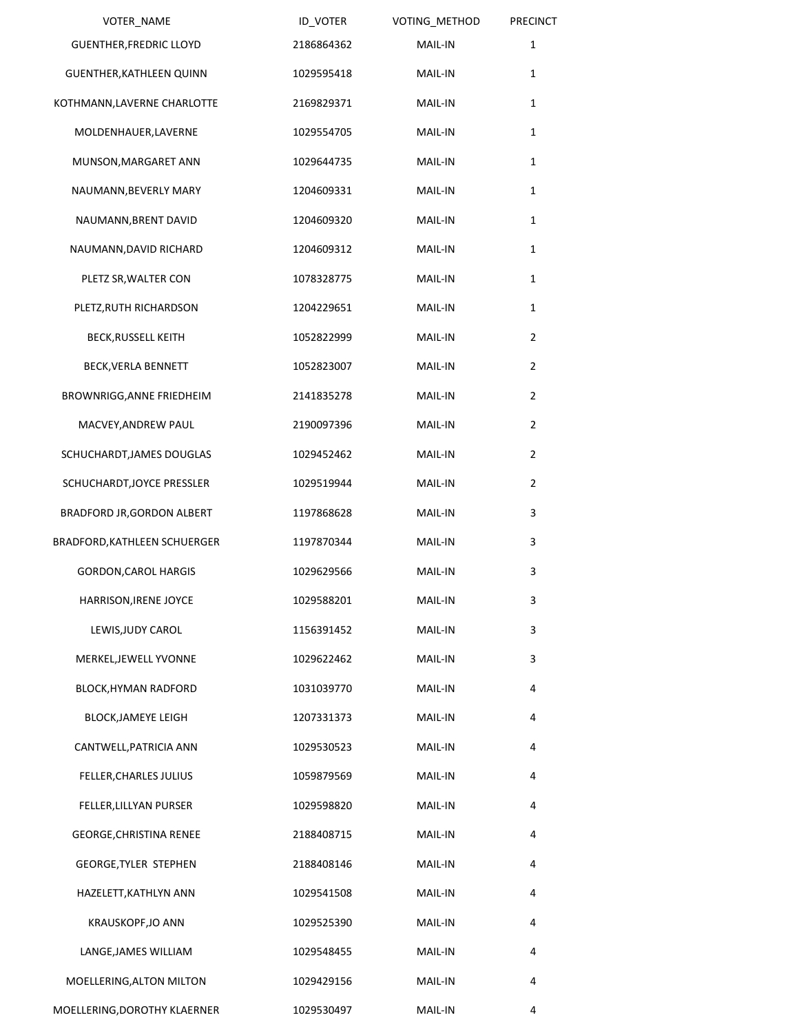| <b>VOTER NAME</b>               | ID_VOTER   | VOTING_METHOD  | <b>PRECINCT</b> |
|---------------------------------|------------|----------------|-----------------|
| <b>GUENTHER, FREDRIC LLOYD</b>  | 2186864362 | MAIL-IN        | $\mathbf{1}$    |
| <b>GUENTHER, KATHLEEN QUINN</b> | 1029595418 | <b>MAIL-IN</b> | $\mathbf{1}$    |
| KOTHMANN, LAVERNE CHARLOTTE     | 2169829371 | MAIL-IN        | 1               |
| MOLDENHAUER, LAVERNE            | 1029554705 | MAIL-IN        | 1               |
| MUNSON, MARGARET ANN            | 1029644735 | MAIL-IN        | 1               |
| NAUMANN, BEVERLY MARY           | 1204609331 | MAIL-IN        | 1               |
| NAUMANN, BRENT DAVID            | 1204609320 | MAIL-IN        | $\mathbf{1}$    |
| NAUMANN, DAVID RICHARD          | 1204609312 | MAIL-IN        | $\mathbf{1}$    |
| PLETZ SR, WALTER CON            | 1078328775 | MAIL-IN        | 1               |
| PLETZ, RUTH RICHARDSON          | 1204229651 | MAIL-IN        | 1               |
| <b>BECK, RUSSELL KEITH</b>      | 1052822999 | MAIL-IN        | $\overline{2}$  |
| BECK, VERLA BENNETT             | 1052823007 | MAIL-IN        | $\overline{2}$  |
| BROWNRIGG, ANNE FRIEDHEIM       | 2141835278 | MAIL-IN        | $\overline{2}$  |
| MACVEY, ANDREW PAUL             | 2190097396 | MAIL-IN        | $\overline{2}$  |
| SCHUCHARDT, JAMES DOUGLAS       | 1029452462 | MAIL-IN        | $\overline{2}$  |
| SCHUCHARDT, JOYCE PRESSLER      | 1029519944 | MAIL-IN        | $\overline{2}$  |
| BRADFORD JR, GORDON ALBERT      | 1197868628 | MAIL-IN        | 3               |
| BRADFORD, KATHLEEN SCHUERGER    | 1197870344 | MAIL-IN        | 3               |
| <b>GORDON, CAROL HARGIS</b>     | 1029629566 | MAIL-IN        | 3               |
| HARRISON, IRENE JOYCE           | 1029588201 | MAIL-IN        | 3               |
| LEWIS, JUDY CAROL               | 1156391452 | MAIL-IN        | 3               |
| MERKEL, JEWELL YVONNE           | 1029622462 | MAIL-IN        | 3               |
| <b>BLOCK, HYMAN RADFORD</b>     | 1031039770 | MAIL-IN        | 4               |
| <b>BLOCK, JAMEYE LEIGH</b>      | 1207331373 | MAIL-IN        | 4               |
| CANTWELL, PATRICIA ANN          | 1029530523 | MAIL-IN        | 4               |
| FELLER, CHARLES JULIUS          | 1059879569 | MAIL-IN        | 4               |
| FELLER, LILLYAN PURSER          | 1029598820 | MAIL-IN        | 4               |
| GEORGE, CHRISTINA RENEE         | 2188408715 | MAIL-IN        | 4               |
| <b>GEORGE, TYLER STEPHEN</b>    | 2188408146 | MAIL-IN        | 4               |
| HAZELETT, KATHLYN ANN           | 1029541508 | MAIL-IN        | 4               |
| KRAUSKOPF, JO ANN               | 1029525390 | MAIL-IN        | 4               |
| LANGE, JAMES WILLIAM            | 1029548455 | MAIL-IN        | 4               |
| MOELLERING, ALTON MILTON        | 1029429156 | MAIL-IN        | 4               |
| MOELLERING, DOROTHY KLAERNER    | 1029530497 | MAIL-IN        | 4               |